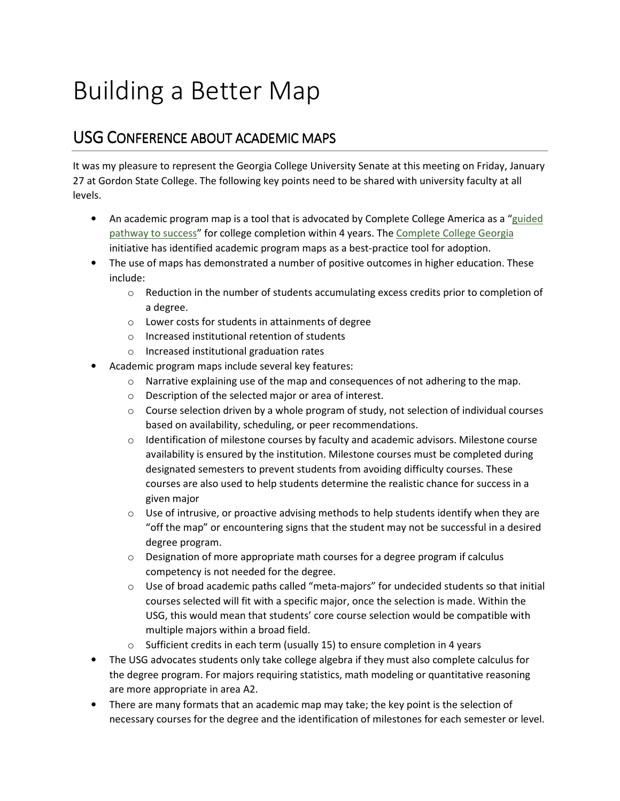## Building a Better Map

## USG CONFERENCE ABOUT ACADEMIC MAPS

It was my pleasure to represent the Georgia College University Senate at this meeting on Friday, January 27 at Gordon State College. The following key points need to be shared with university faculty at all levels.

- An academic program map is a tool that is advocated by Complete College America as a "guided" pathway to success" for college completion within 4 years. The Complete College Georgia initiative has identified academic program maps as a best-practice tool for adoption.
- The use of maps has demonstrated a number of positive outcomes in higher education. These include:
	- $\circ$  Reduction in the number of students accumulating excess credits prior to completion of a degree.
	- o Lower costs for students in attainments of degree
	- o Increased institutional retention of students
	- o Increased institutional graduation rates
- Academic program maps include several key features:
	- $\circ$  Narrative explaining use of the map and consequences of not adhering to the map.
	- o Description of the selected major or area of interest.
	- $\circ$  Course selection driven by a whole program of study, not selection of individual courses based on availability, scheduling, or peer recommendations.
	- $\circ$  Identification of milestone courses by faculty and academic advisors. Milestone course availability is ensured by the institution. Milestone courses must be completed during designated semesters to prevent students from avoiding difficulty courses. These courses are also used to help students determine the realistic chance for success in a given major
	- $\circ$  Use of intrusive, or proactive advising methods to help students identify when they are "off the map" or encountering signs that the student may not be successful in a desired degree program.
	- $\circ$  Designation of more appropriate math courses for a degree program if calculus competency is not needed for the degree.
	- $\circ$  Use of broad academic paths called "meta-majors" for undecided students so that initial courses selected will fit with a specific major, once the selection is made. Within the USG, this would mean that students' core course selection would be compatible with multiple majors within a broad field.
	- o Sufficient credits in each term (usually 15) to ensure completion in 4 years
- The USG advocates students only take college algebra if they must also complete calculus for the degree program. For majors requiring statistics, math modeling or quantitative reasoning are more appropriate in area A2.
- There are many formats that an academic map may take; the key point is the selection of necessary courses for the degree and the identification of milestones for each semester or level.